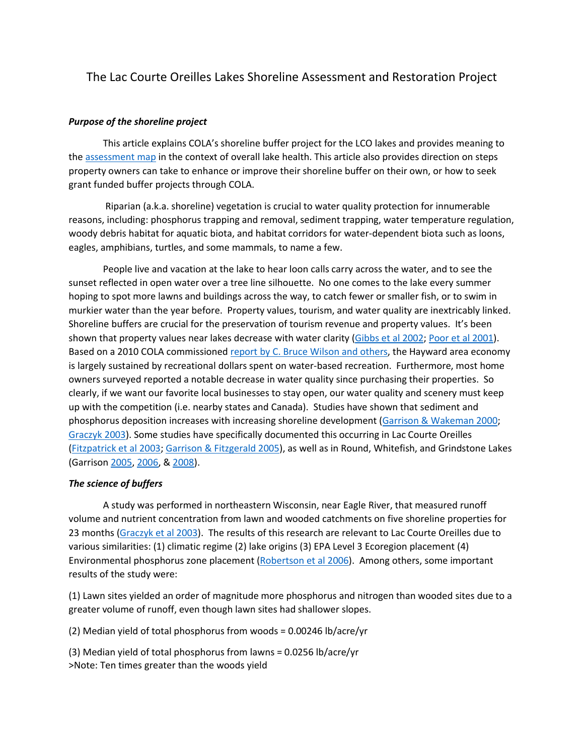# The Lac Courte Oreilles Lakes Shoreline Assessment and Restoration Project

## *Purpose of the shoreline project*

This article explains COLA's shoreline buffer project for the LCO lakes and provides meaning to the [assessment map](http://www.cola-wi.org/shoreline-map) in the context of overall lake health. This article also provides direction on steps property owners can take to enhance or improve their shoreline buffer on their own, or how to seek grant funded buffer projects through COLA.

Riparian (a.k.a. shoreline) vegetation is crucial to water quality protection for innumerable reasons, including: phosphorus trapping and removal, sediment trapping, water temperature regulation, woody debris habitat for aquatic biota, and habitat corridors for water-dependent biota such as loons, eagles, amphibians, turtles, and some mammals, to name a few.

People live and vacation at the lake to hear loon calls carry across the water, and to see the sunset reflected in open water over a tree line silhouette. No one comes to the lake every summer hoping to spot more lawns and buildings across the way, to catch fewer or smaller fish, or to swim in murkier water than the year before. Property values, tourism, and water quality are inextricably linked. Shoreline buffers are crucial for the preservation of tourism revenue and property values. It's been shown that property values near lakes decrease with water clarity [\(Gibbs et al 2002](http://cola-wi.org/media/Gibbs et al 2002.pdf); [Poor et al 2001](http://cola-wi.org/media/Poor et al 2001.pdf)). Based on a 2010 COLA commissioned report [by C. Bruce Wilson and others](http://cola.adceval.com/media/LCO_Economic_Survey_and_Assessment.pdf), the Hayward area economy is largely sustained by recreational dollars spent on water-based recreation. Furthermore, most home owners surveyed reported a notable decrease in water quality since purchasing their properties. So clearly, if we want our favorite local businesses to stay open, our water quality and scenery must keep up with the competition (i.e. nearby states and Canada). Studies have shown that sediment and phosphorus deposition increases with increasing shoreline development [\(Garrison & Wakeman 2000](http://cola-wi.org/media/Garrison & Wakeman 2000.pdf); [Graczyk 2003\)](http://cola-wi.org/media/Graczyk et al 2003.pdf). Some studies have specifically documented this occurring in Lac Courte Oreilles [\(Fitzpatrick et al 2003](http://cola-wi.org/media/Fitzpatrick et al 2003.pdf); [Garrison & Fitzgerald 2005](http://cola-wi.org/media/Garrison & Fitzgerald 2005.pdf)), as well as in Round, Whitefish, and Grindstone Lakes (Garrison [2005](http://cola-wi.org/media/2005.pdf), [2006](http://cola-wi.org/media/2006.pdf), & [2008](http://cola-wi.org/media/2008.pdf)).

### *The science of buffers*

A study was performed in northeastern Wisconsin, near Eagle River, that measured runoff volume and nutrient concentration from lawn and wooded catchments on five shoreline properties for 23 months [\(Graczyk et al 2003](http://cola-wi.org/media/Graczyk et al 2003.pdf)). The results of this research are relevant to Lac Courte Oreilles due to various similarities: (1) climatic regime (2) lake origins (3) EPA Level 3 Ecoregion placement (4) Environmental phosphorus zone placement [\(Robertson et al 2006](http://cola-wi.org/media/Robertson et al 2006.pdf)). Among others, some important results of the study were:

(1) Lawn sites yielded an order of magnitude more phosphorus and nitrogen than wooded sites due to a greater volume of runoff, even though lawn sites had shallower slopes.

(2) Median yield of total phosphorus from woods = 0.00246 lb/acre/yr

(3) Median yield of total phosphorus from lawns = 0.0256 lb/acre/yr >Note: Ten times greater than the woods yield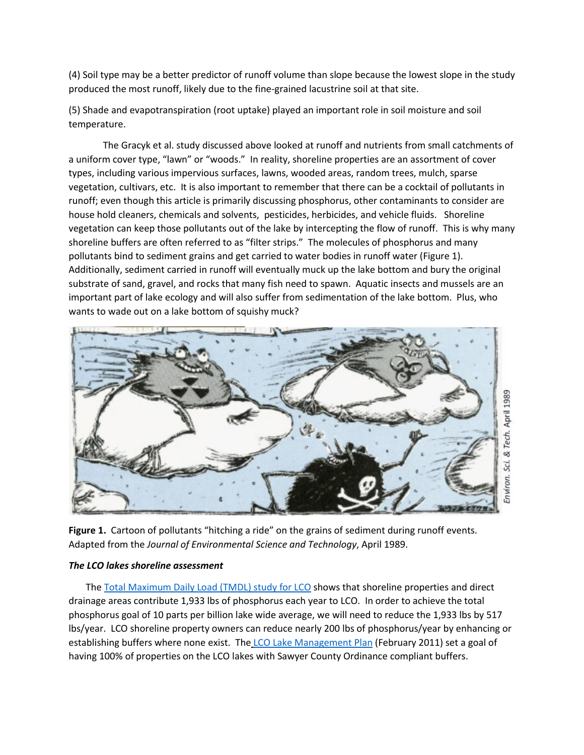(4) Soil type may be a better predictor of runoff volume than slope because the lowest slope in the study produced the most runoff, likely due to the fine-grained lacustrine soil at that site.

(5) Shade and evapotranspiration (root uptake) played an important role in soil moisture and soil temperature.

The Gracyk et al. study discussed above looked at runoff and nutrients from small catchments of a uniform cover type, "lawn" or "woods." In reality, shoreline properties are an assortment of cover types, including various impervious surfaces, lawns, wooded areas, random trees, mulch, sparse vegetation, cultivars, etc. It is also important to remember that there can be a cocktail of pollutants in runoff; even though this article is primarily discussing phosphorus, other contaminants to consider are house hold cleaners, chemicals and solvents, pesticides, herbicides, and vehicle fluids. Shoreline vegetation can keep those pollutants out of the lake by intercepting the flow of runoff. This is why many shoreline buffers are often referred to as "filter strips." The molecules of phosphorus and many pollutants bind to sediment grains and get carried to water bodies in runoff water (Figure 1). Additionally, sediment carried in runoff will eventually muck up the lake bottom and bury the original substrate of sand, gravel, and rocks that many fish need to spawn. Aquatic insects and mussels are an important part of lake ecology and will also suffer from sedimentation of the lake bottom. Plus, who wants to wade out on a lake bottom of squishy muck?



Figure 1. Cartoon of pollutants "hitching a ride" on the grains of sediment during runoff events. Adapted from the *Journal of Environmental Science and Technology*, April 1989.

# *The LCO lakes shoreline assessment*

The [Total Maximum Daily Load \(TMDL\)](http://www.cola-wi.org/tmdl-study) study for LCO shows that shoreline properties and direct drainage areas contribute 1,933 lbs of phosphorus each year to LCO. In order to achieve the total phosphorus goal of 10 parts per billion lake wide average, we will need to reduce the 1,933 lbs by 517 lbs/year. LCO shoreline property owners can reduce nearly 200 lbs of phosphorus/year by enhancing or establishing buffers where none exist. The [LCO Lake Management Plan](http://www.cola-wi.org/lake-management-plan) (February 2011) set a goal of having 100% of properties on the LCO lakes with Sawyer County Ordinance compliant buffers.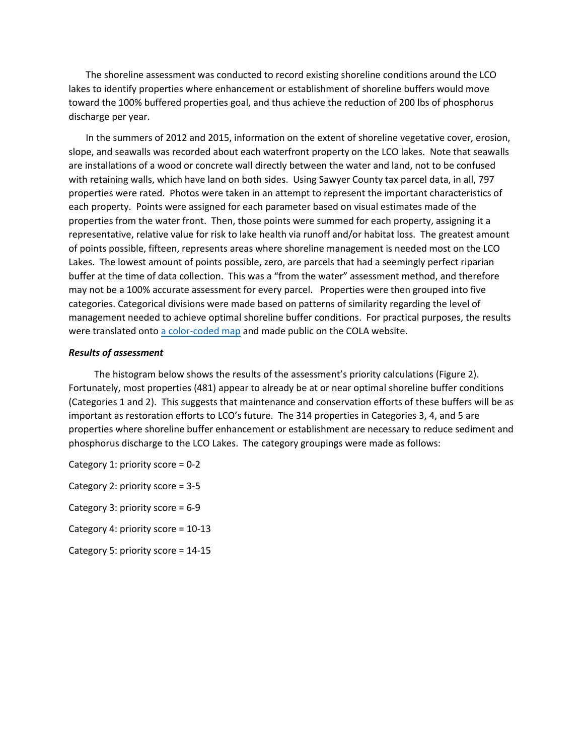The shoreline assessment was conducted to record existing shoreline conditions around the LCO lakes to identify properties where enhancement or establishment of shoreline buffers would move toward the 100% buffered properties goal, and thus achieve the reduction of 200 lbs of phosphorus discharge per year.

In the summers of 2012 and 2015, information on the extent of shoreline vegetative cover, erosion, slope, and seawalls was recorded about each waterfront property on the LCO lakes. Note that seawalls are installations of a wood or concrete wall directly between the water and land, not to be confused with retaining walls, which have land on both sides. Using Sawyer County tax parcel data, in all, 797 properties were rated. Photos were taken in an attempt to represent the important characteristics of each property. Points were assigned for each parameter based on visual estimates made of the properties from the water front. Then, those points were summed for each property, assigning it a representative, relative value for risk to lake health via runoff and/or habitat loss. The greatest amount of points possible, fifteen, represents areas where shoreline management is needed most on the LCO Lakes. The lowest amount of points possible, zero, are parcels that had a seemingly perfect riparian buffer at the time of data collection. This was a "from the water" assessment method, and therefore may not be a 100% accurate assessment for every parcel. Properties were then grouped into five categories. Categorical divisions were made based on patterns of similarity regarding the level of management needed to achieve optimal shoreline buffer conditions. For practical purposes, the results were translated onto [a color-coded map](http://www.cola-wi.org/shoreline-map) and made public on the COLA website.

#### *Results of assessment*

The histogram below shows the results of the assessment's priority calculations (Figure 2). Fortunately, most properties (481) appear to already be at or near optimal shoreline buffer conditions (Categories 1 and 2). This suggests that maintenance and conservation efforts of these buffers will be as important as restoration efforts to LCO's future. The 314 properties in Categories 3, 4, and 5 are properties where shoreline buffer enhancement or establishment are necessary to reduce sediment and phosphorus discharge to the LCO Lakes. The category groupings were made as follows:

Category 1: priority score = 0-2

Category 2: priority score = 3-5

Category 3: priority score = 6-9

Category 4: priority score = 10-13

Category 5: priority score = 14-15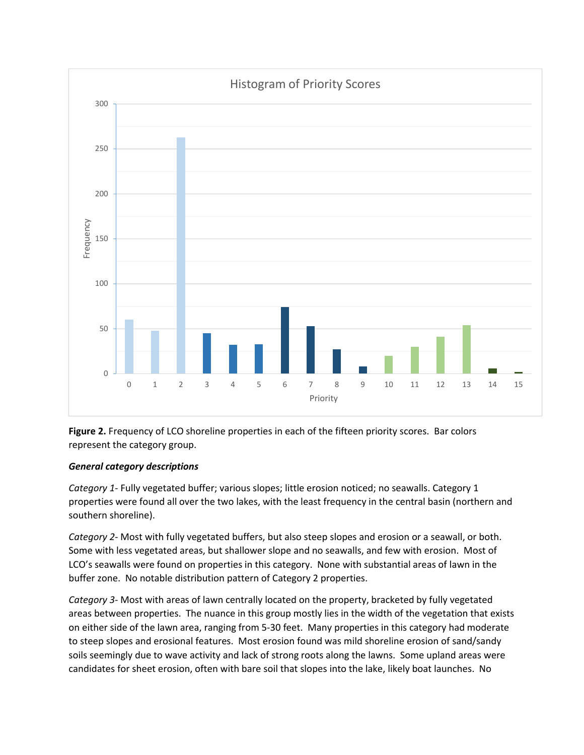



# *General category descriptions*

*Category 1-* Fully vegetated buffer; various slopes; little erosion noticed; no seawalls. Category 1 properties were found all over the two lakes, with the least frequency in the central basin (northern and southern shoreline).

*Category 2-* Most with fully vegetated buffers, but also steep slopes and erosion or a seawall, or both. Some with less vegetated areas, but shallower slope and no seawalls, and few with erosion. Most of LCO's seawalls were found on properties in this category. None with substantial areas of lawn in the buffer zone. No notable distribution pattern of Category 2 properties.

*Category 3-* Most with areas of lawn centrally located on the property, bracketed by fully vegetated areas between properties. The nuance in this group mostly lies in the width of the vegetation that exists on either side of the lawn area, ranging from 5-30 feet. Many properties in this category had moderate to steep slopes and erosional features. Most erosion found was mild shoreline erosion of sand/sandy soils seemingly due to wave activity and lack of strong roots along the lawns. Some upland areas were candidates for sheet erosion, often with bare soil that slopes into the lake, likely boat launches. No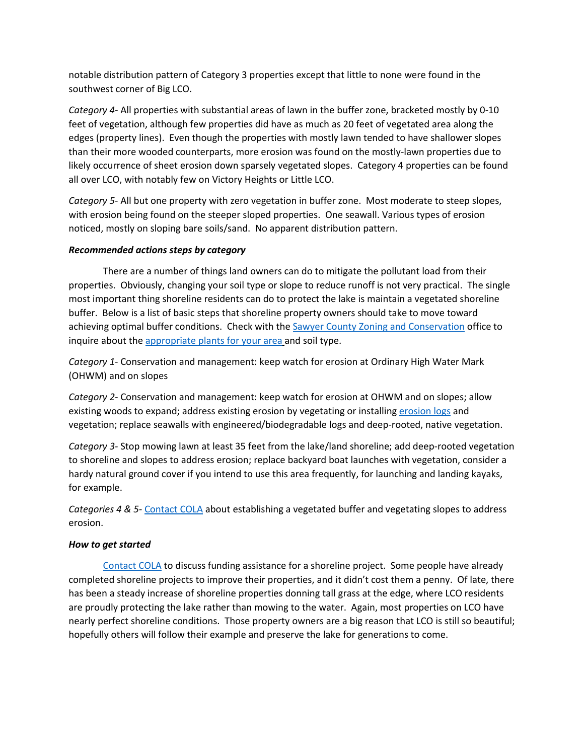notable distribution pattern of Category 3 properties except that little to none were found in the southwest corner of Big LCO.

*Category 4-* All properties with substantial areas of lawn in the buffer zone, bracketed mostly by 0-10 feet of vegetation, although few properties did have as much as 20 feet of vegetated area along the edges (property lines). Even though the properties with mostly lawn tended to have shallower slopes than their more wooded counterparts, more erosion was found on the mostly-lawn properties due to likely occurrence of sheet erosion down sparsely vegetated slopes. Category 4 properties can be found all over LCO, with notably few on Victory Heights or Little LCO.

*Category 5-* All but one property with zero vegetation in buffer zone. Most moderate to steep slopes, with erosion being found on the steeper sloped properties. One seawall. Various types of erosion noticed, mostly on sloping bare soils/sand. No apparent distribution pattern.

# *Recommended actions steps by category*

There are a number of things land owners can do to mitigate the pollutant load from their properties. Obviously, changing your soil type or slope to reduce runoff is not very practical. The single most important thing shoreline residents can do to protect the lake is maintain a vegetated shoreline buffer. Below is a list of basic steps that shoreline property owners should take to move toward achieving optimal buffer conditions. Check with the **Sawyer County Zoning and Conservation** office to inquire about the [appropriate plants for your area](http://cola-wi.org/media/appropriate plants for your area.pdf) and soil type.

*Category 1-* Conservation and management: keep watch for erosion at Ordinary High Water Mark (OHWM) and on slopes

*Category 2-* Conservation and management: keep watch for erosion at OHWM and on slopes; allow existing woods to expand; address existing erosion by vegetating or installing [erosion logs](http://www.erosioncontrol-products.com/coirlog.html) and vegetation; replace seawalls with engineered/biodegradable logs and deep-rooted, native vegetation.

*Category 3-* Stop mowing lawn at least 35 feet from the lake/land shoreline; add deep-rooted vegetation to shoreline and slopes to address erosion; replace backyard boat launches with vegetation, consider a hardy natural ground cover if you intend to use this area frequently, for launching and landing kayaks, for example.

*Categories 4 & 5-* [Contact COLA](http://www.cola-wi.org/contact-us) about establishing a vegetated buffer and vegetating slopes to address erosion.

# *How to get started*

[Contact COLA](http://www.cola-wi.org/contact-us) to discuss funding assistance for a shoreline project. Some people have already completed shoreline projects to improve their properties, and it didn't cost them a penny. Of late, there has been a steady increase of shoreline properties donning tall grass at the edge, where LCO residents are proudly protecting the lake rather than mowing to the water. Again, most properties on LCO have nearly perfect shoreline conditions. Those property owners are a big reason that LCO is still so beautiful; hopefully others will follow their example and preserve the lake for generations to come.